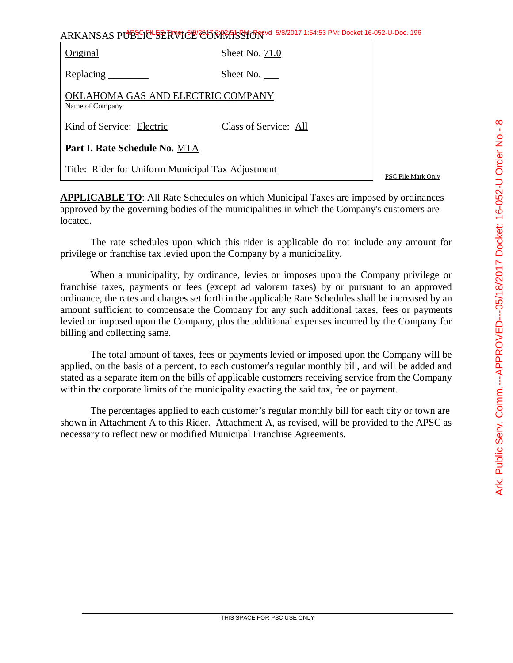| $\frac{1}{2}$                       |
|-------------------------------------|
|                                     |
|                                     |
|                                     |
|                                     |
| <b>^^ i&gt;n i&gt;r</b>             |
| ノンソン                                |
|                                     |
|                                     |
|                                     |
|                                     |
|                                     |
|                                     |
| <b>CITICLES</b><br><b>ニュンコンコーン!</b> |
|                                     |
|                                     |
|                                     |
|                                     |
|                                     |
| こ ム けっぺく りょく                        |
|                                     |
|                                     |
|                                     |
|                                     |
|                                     |
|                                     |
|                                     |
|                                     |
| י<br>-<br>א                         |
|                                     |
|                                     |
|                                     |
|                                     |
|                                     |
|                                     |
| くらくりく<br>שבו ווער                   |
|                                     |
|                                     |
|                                     |
|                                     |
|                                     |
| <br> <br> <br> <br> <br> <br>       |
|                                     |
|                                     |
|                                     |
|                                     |
|                                     |
|                                     |
|                                     |
|                                     |
|                                     |
|                                     |
|                                     |
|                                     |
|                                     |
|                                     |
|                                     |
|                                     |
| C                                   |

 $\infty$ 

ARKANSAS PUBLIC SERVICE COMMISSION 5/8/2017 1:54:53 PM: Docket 16-052-U-Doc. 196

| Original                                             | Sheet No. 71.0        |  |  |  |  |  |
|------------------------------------------------------|-----------------------|--|--|--|--|--|
|                                                      | Sheet No.             |  |  |  |  |  |
| OKLAHOMA GAS AND ELECTRIC COMPANY<br>Name of Company |                       |  |  |  |  |  |
| Kind of Service: Electric                            | Class of Service: All |  |  |  |  |  |
| Part I. Rate Schedule No. MTA                        |                       |  |  |  |  |  |
| Title: Rider for Uniform Municipal Tax Adjustment    |                       |  |  |  |  |  |

PSC File Mark Only

**APPLICABLE TO:** All Rate Schedules on which Municipal Taxes are imposed by ordinances approved by the governing bodies of the municipalities in which the Company's customers are located.

The rate schedules upon which this rider is applicable do not include any amount for privilege or franchise tax levied upon the Company by a municipality.

When a municipality, by ordinance, levies or imposes upon the Company privilege or franchise taxes, payments or fees (except ad valorem taxes) by or pursuant to an approved ordinance, the rates and charges set forth in the applicable Rate Schedules shall be increased by an amount sufficient to compensate the Company for any such additional taxes, fees or payments levied or imposed upon the Company, plus the additional expenses incurred by the Company for billing and collecting same.

The total amount of taxes, fees or payments levied or imposed upon the Company will be applied, on the basis of a percent, to each customer's regular monthly bill, and will be added and stated as a separate item on the bills of applicable customers receiving service from the Company within the corporate limits of the municipality exacting the said tax, fee or payment.

The percentages applied to each customer's regular monthly bill for each city or town are shown in Attachment A to this Rider. Attachment A, as revised, will be provided to the APSC as necessary to reflect new or modified Municipal Franchise Agreements.